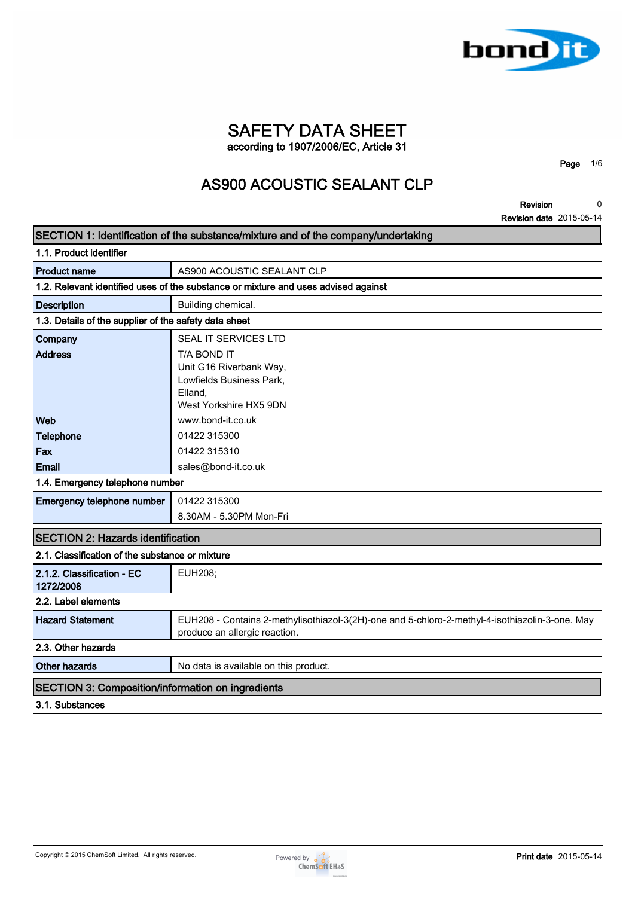

## **SAFETY DATA SHEET according to 1907/2006/EC, Article 31**

**Page 1/6**

# **AS900 ACOUSTIC SEALANT CLP**

**Revision Revision date 2015-05-14 0**

|                                                          | SECTION 1: Identification of the substance/mixture and of the company/undertaking              |
|----------------------------------------------------------|------------------------------------------------------------------------------------------------|
| 1.1. Product identifier                                  |                                                                                                |
| <b>Product name</b>                                      | AS900 ACOUSTIC SEALANT CLP                                                                     |
|                                                          | 1.2. Relevant identified uses of the substance or mixture and uses advised against             |
| <b>Description</b>                                       | Building chemical.                                                                             |
| 1.3. Details of the supplier of the safety data sheet    |                                                                                                |
| Company                                                  | SEAL IT SERVICES LTD                                                                           |
| <b>Address</b>                                           | T/A BOND IT                                                                                    |
|                                                          | Unit G16 Riverbank Way,                                                                        |
|                                                          | Lowfields Business Park,                                                                       |
|                                                          | Elland,<br>West Yorkshire HX5 9DN                                                              |
| Web                                                      | www.bond-it.co.uk                                                                              |
| <b>Telephone</b>                                         | 01422 315300                                                                                   |
| Fax                                                      | 01422 315310                                                                                   |
| Email                                                    | sales@bond-it.co.uk                                                                            |
| 1.4. Emergency telephone number                          |                                                                                                |
| Emergency telephone number                               | 01422 315300                                                                                   |
|                                                          | 8.30AM - 5.30PM Mon-Fri                                                                        |
|                                                          |                                                                                                |
| <b>SECTION 2: Hazards identification</b>                 |                                                                                                |
| 2.1. Classification of the substance or mixture          |                                                                                                |
| 2.1.2. Classification - EC<br>1272/2008                  | <b>EUH208;</b>                                                                                 |
| 2.2. Label elements                                      |                                                                                                |
| <b>Hazard Statement</b>                                  | EUH208 - Contains 2-methylisothiazol-3(2H)-one and 5-chloro-2-methyl-4-isothiazolin-3-one. May |
|                                                          | produce an allergic reaction.                                                                  |
| 2.3. Other hazards                                       |                                                                                                |
| <b>Other hazards</b>                                     | No data is available on this product.                                                          |
| <b>SECTION 3: Composition/information on ingredients</b> |                                                                                                |
| 3.1. Substances                                          |                                                                                                |

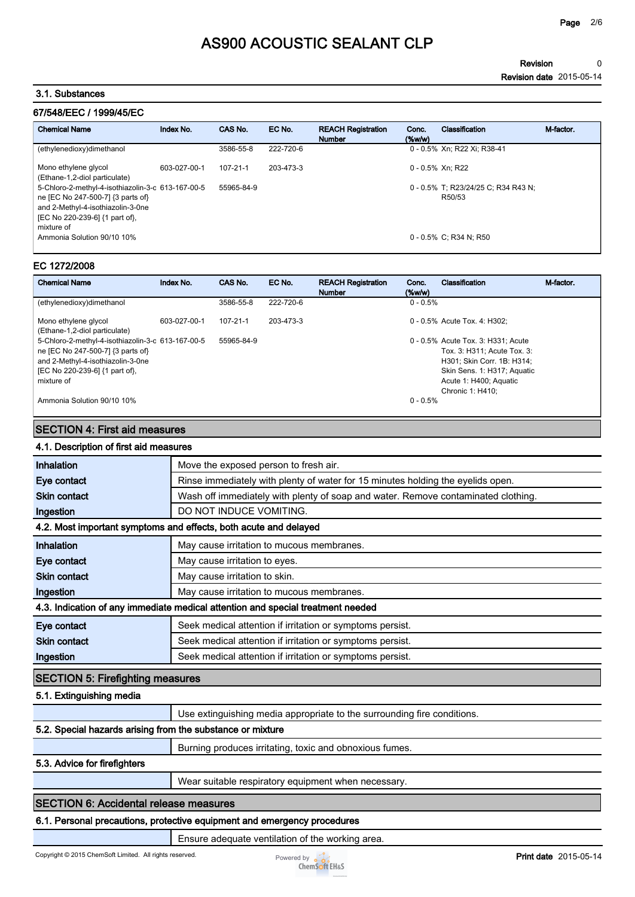**Revision Revision date 2015-05-14 0**

### **3.1. Substances**

## **67/548/EEC / 1999/45/EC**

| <b>Chemical Name</b>                                                                                                                                                        | Index No.    | CAS No.        | EC No.    | <b>REACH Registration</b><br><b>Number</b> | Conc.<br>(% | Classification                                | M-factor. |
|-----------------------------------------------------------------------------------------------------------------------------------------------------------------------------|--------------|----------------|-----------|--------------------------------------------|-------------|-----------------------------------------------|-----------|
| (ethylenedioxy)dimethanol                                                                                                                                                   |              | 3586-55-8      | 222-720-6 |                                            |             | 0 - 0.5% Xn: R22 Xi: R38-41                   |           |
| Mono ethylene glycol<br>(Ethane-1,2-diol particulate)                                                                                                                       | 603-027-00-1 | $107 - 21 - 1$ | 203-473-3 |                                            |             | 0 - 0.5% Xn: R22                              |           |
| 5-Chloro-2-methyl-4-isothiazolin-3-c 613-167-00-5<br>ne [EC No 247-500-7] {3 parts of}<br>and 2-Methyl-4-isothiazolin-3-0ne<br>[EC No 220-239-6] {1 part of},<br>mixture of |              | 55965-84-9     |           |                                            |             | 0 - 0.5% T; R23/24/25 C; R34 R43 N;<br>R50/53 |           |
| Ammonia Solution 90/10 10%                                                                                                                                                  |              |                |           |                                            |             | $0 - 0.5\%$ C: R34 N: R50                     |           |

#### **EC 1272/2008**

| <b>Chemical Name</b>                                                                                                                                                        | Index No.    | CAS No.        | EC No.    | <b>REACH Registration</b><br><b>Number</b> | Conc.<br>$(\%w/w)$ | Classification                                                                                                                                                               | M-factor. |
|-----------------------------------------------------------------------------------------------------------------------------------------------------------------------------|--------------|----------------|-----------|--------------------------------------------|--------------------|------------------------------------------------------------------------------------------------------------------------------------------------------------------------------|-----------|
| (ethylenedioxy)dimethanol                                                                                                                                                   |              | 3586-55-8      | 222-720-6 |                                            | $0 - 0.5%$         |                                                                                                                                                                              |           |
| Mono ethylene glycol<br>(Ethane-1,2-diol particulate)                                                                                                                       | 603-027-00-1 | $107 - 21 - 1$ | 203-473-3 |                                            |                    | 0 - 0.5% Acute Tox. 4: H302:                                                                                                                                                 |           |
| 5-Chloro-2-methyl-4-isothiazolin-3-c 613-167-00-5<br>ne [EC No 247-500-7] {3 parts of}<br>and 2-Methyl-4-isothiazolin-3-0ne<br>[EC No 220-239-6] {1 part of},<br>mixture of |              | 55965-84-9     |           |                                            |                    | 0 - 0.5% Acute Tox. 3: H331; Acute<br>Tox. 3: H311; Acute Tox. 3:<br>H301: Skin Corr. 1B: H314:<br>Skin Sens. 1: H317; Aquatic<br>Acute 1: H400; Aquatic<br>Chronic 1: H410: |           |
| Ammonia Solution 90/10 10%                                                                                                                                                  |              |                |           |                                            | $0 - 0.5%$         |                                                                                                                                                                              |           |

### **SECTION 4: First aid measures**

| 4.1. Description of first aid measures |  |
|----------------------------------------|--|
|                                        |  |

| Move the exposed person to fresh air.                                             |
|-----------------------------------------------------------------------------------|
| Rinse immediately with plenty of water for 15 minutes holding the eyelids open.   |
| Wash off immediately with plenty of soap and water. Remove contaminated clothing. |
| DO NOT INDUCE VOMITING.                                                           |
| 4.2. Most important symptoms and effects, both acute and delayed                  |
| May cause irritation to mucous membranes.                                         |
| May cause irritation to eyes.                                                     |
| May cause irritation to skin.                                                     |
| May cause irritation to mucous membranes.                                         |
| 4.3. Indication of any immediate medical attention and special treatment needed   |
| Seek medical attention if irritation or symptoms persist.                         |
| Seek medical attention if irritation or symptoms persist.                         |
| Seek medical attention if irritation or symptoms persist.                         |
| <b>SECTION 5: Firefighting measures</b>                                           |
|                                                                                   |
| Use extinguishing media appropriate to the surrounding fire conditions.           |
| 5.2. Special hazards arising from the substance or mixture                        |
| Burning produces irritating, toxic and obnoxious fumes.                           |
|                                                                                   |
| Wear suitable respiratory equipment when necessary.                               |
| <b>SECTION 6: Accidental release measures</b>                                     |
| 6.1. Personal precautions, protective equipment and emergency procedures          |
|                                                                                   |

## **Ensure adequate ventilation of the working area.**

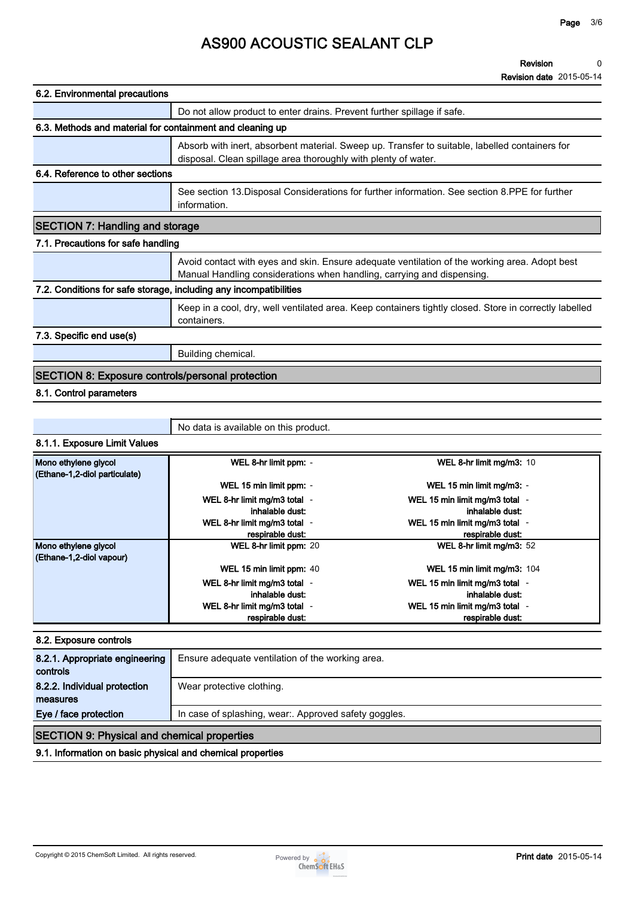**Revision Revision date 2015-05-14 0**

| 6.2. Environmental precautions                                    |                                                                                                                                                                         |
|-------------------------------------------------------------------|-------------------------------------------------------------------------------------------------------------------------------------------------------------------------|
|                                                                   | Do not allow product to enter drains. Prevent further spillage if safe.                                                                                                 |
| 6.3. Methods and material for containment and cleaning up         |                                                                                                                                                                         |
|                                                                   | Absorb with inert, absorbent material. Sweep up. Transfer to suitable, labelled containers for<br>disposal. Clean spillage area thoroughly with plenty of water.        |
| 6.4. Reference to other sections                                  |                                                                                                                                                                         |
|                                                                   | See section 13. Disposal Considerations for further information. See section 8. PPE for further<br>information.                                                         |
| <b>SECTION 7: Handling and storage</b>                            |                                                                                                                                                                         |
| 7.1. Precautions for safe handling                                |                                                                                                                                                                         |
|                                                                   | Avoid contact with eyes and skin. Ensure adequate ventilation of the working area. Adopt best<br>Manual Handling considerations when handling, carrying and dispensing. |
| 7.2. Conditions for safe storage, including any incompatibilities |                                                                                                                                                                         |
|                                                                   | Keep in a cool, dry, well ventilated area. Keep containers tightly closed. Store in correctly labelled<br>containers.                                                   |
| 7.3. Specific end use(s)                                          |                                                                                                                                                                         |
|                                                                   | Building chemical.                                                                                                                                                      |
| <b>SECTION 8: Exposure controls/personal protection</b>           |                                                                                                                                                                         |
| 8.1. Control parameters                                           |                                                                                                                                                                         |

**8.1.1. Exposure Limit Values Mono ethylene glycol (Ethane-1,2-diol particulate) WEL 8-hr limit ppm: - WEL 8-hr limit mg/m3: <sup>10</sup> WEL 15 min limit ppm: - WEL 15 min limit mg/m3: - WEL 8-hr limit mg/m3 total inhalable dust: - WEL 15 min limit mg/m3 total inhalable dust: - WEL 8-hr limit mg/m3 total respirable dust: - WEL 15 min limit mg/m3 total respirable dust: - Mono ethylene glycol (Ethane-1,2-diol vapour) WEL 8-hr limit ppm: <sup>20</sup> WEL 8-hr limit mg/m3: <sup>52</sup> WEL 15 min limit ppm: 40 WEL 15 min limit mg/m3: 104 WEL 8-hr limit mg/m3 total init mg/m3 total**  $-$  **and the set of the set of the WEL 15 min limit mg/m3 total**  $-$  **inhalable dust: inhalable dust: - WEL 8-hr limit mg/m3 total respirable dust: - WEL 15 min limit mg/m3 total respirable dust: -**

**No data is available on this product.**

#### **8.2. Exposure controls**

| 8.2.1. Appropriate engineering<br>controls         | Ensure adequate ventilation of the working area.      |
|----------------------------------------------------|-------------------------------------------------------|
| 8.2.2. Individual protection<br>measures           | Wear protective clothing.                             |
| Eye / face protection                              | In case of splashing, wear:. Approved safety goggles. |
| <b>SECTION 9: Physical and chemical properties</b> |                                                       |

**9.1. Information on basic physical and chemical properties**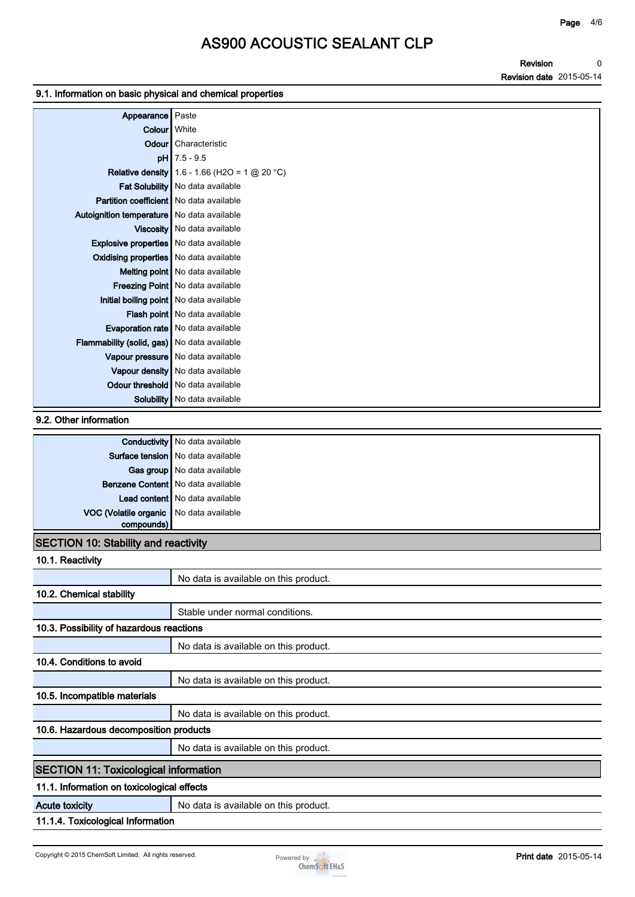**Revision Revision date 2015-05-14 0**

### **9.1. Information on basic physical and chemical properties**

| Appearance Paste                             |                                                        |
|----------------------------------------------|--------------------------------------------------------|
| Colour White                                 |                                                        |
|                                              | Odour Characteristic                                   |
|                                              | $pH$ 7.5 - 9.5                                         |
|                                              | <b>Relative density</b> 1.6 - 1.66 (H2O = 1 $@$ 20 °C) |
|                                              | Fat Solubility   No data available                     |
| Partition coefficient   No data available    |                                                        |
| Autoignition temperature   No data available |                                                        |
|                                              | Viscosity   No data available                          |
| Explosive properties No data available       |                                                        |
| Oxidising properties No data available       |                                                        |
|                                              | Melting point   No data available                      |
|                                              | Freezing Point   No data available                     |
|                                              | Initial boiling point   No data available              |
|                                              | Flash point   No data available                        |
|                                              | <b>Evaporation rate</b> No data available              |
| Flammability (solid, gas) No data available  |                                                        |
|                                              | Vapour pressure   No data available                    |
|                                              | Vapour density   No data available                     |
|                                              | Odour threshold   No data available                    |
|                                              | <b>Solubility</b> No data available                    |

### **9.2. Other information**

|                                                       | <b>Conductivity</b> No data available |
|-------------------------------------------------------|---------------------------------------|
|                                                       | Surface tension   No data available   |
|                                                       | Gas group   No data available         |
|                                                       | Benzene Content   No data available   |
|                                                       | Lead content   No data available      |
| VOC (Volatile organic No data available<br>compounds) |                                       |
|                                                       |                                       |

## **SECTION 10: Stability and reactivity**

| 10.1. Reactivity                             |                                       |
|----------------------------------------------|---------------------------------------|
|                                              | No data is available on this product. |
| 10.2. Chemical stability                     |                                       |
|                                              | Stable under normal conditions.       |
| 10.3. Possibility of hazardous reactions     |                                       |
|                                              | No data is available on this product. |
| 10.4. Conditions to avoid                    |                                       |
|                                              | No data is available on this product. |
| 10.5. Incompatible materials                 |                                       |
|                                              | No data is available on this product. |
| 10.6. Hazardous decomposition products       |                                       |
|                                              | No data is available on this product. |
| <b>SECTION 11: Toxicological information</b> |                                       |
| 11.1. Information on toxicological effects   |                                       |
| <b>Acute toxicity</b>                        | No data is available on this product. |
| 11.1.4. Toxicological Information            |                                       |

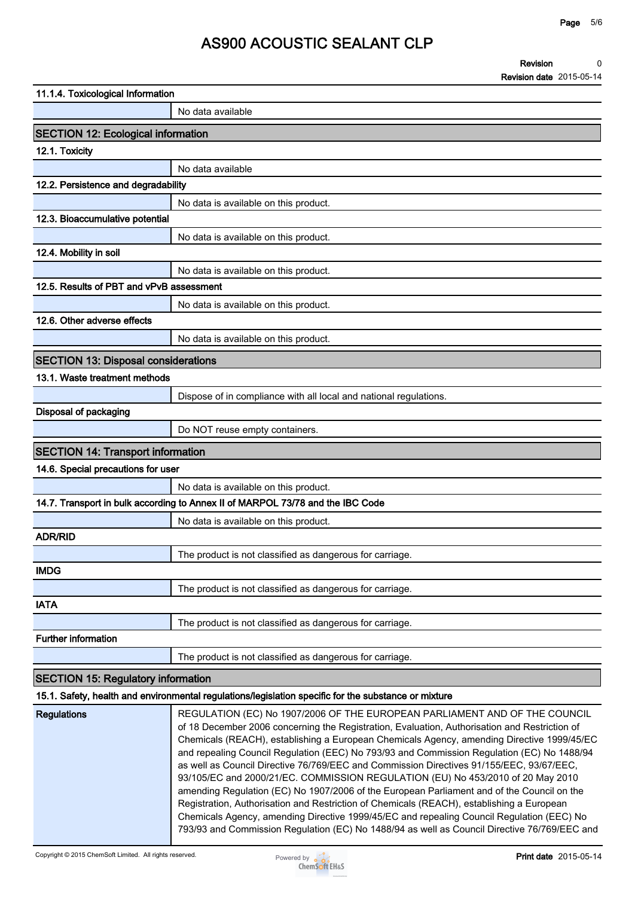**Revision Revision date 2015-05-14 0**

| 11.1.4. Toxicological Information          |                                                                                                                                                                                                                                                                                                                                                                                                                                                                                                                                                                                                                                                                                                                                                   |
|--------------------------------------------|---------------------------------------------------------------------------------------------------------------------------------------------------------------------------------------------------------------------------------------------------------------------------------------------------------------------------------------------------------------------------------------------------------------------------------------------------------------------------------------------------------------------------------------------------------------------------------------------------------------------------------------------------------------------------------------------------------------------------------------------------|
|                                            | No data available                                                                                                                                                                                                                                                                                                                                                                                                                                                                                                                                                                                                                                                                                                                                 |
| <b>SECTION 12: Ecological information</b>  |                                                                                                                                                                                                                                                                                                                                                                                                                                                                                                                                                                                                                                                                                                                                                   |
| 12.1. Toxicity                             |                                                                                                                                                                                                                                                                                                                                                                                                                                                                                                                                                                                                                                                                                                                                                   |
|                                            | No data available                                                                                                                                                                                                                                                                                                                                                                                                                                                                                                                                                                                                                                                                                                                                 |
| 12.2. Persistence and degradability        |                                                                                                                                                                                                                                                                                                                                                                                                                                                                                                                                                                                                                                                                                                                                                   |
|                                            | No data is available on this product.                                                                                                                                                                                                                                                                                                                                                                                                                                                                                                                                                                                                                                                                                                             |
| 12.3. Bioaccumulative potential            |                                                                                                                                                                                                                                                                                                                                                                                                                                                                                                                                                                                                                                                                                                                                                   |
|                                            | No data is available on this product.                                                                                                                                                                                                                                                                                                                                                                                                                                                                                                                                                                                                                                                                                                             |
| 12.4. Mobility in soil                     |                                                                                                                                                                                                                                                                                                                                                                                                                                                                                                                                                                                                                                                                                                                                                   |
|                                            | No data is available on this product.                                                                                                                                                                                                                                                                                                                                                                                                                                                                                                                                                                                                                                                                                                             |
| 12.5. Results of PBT and vPvB assessment   |                                                                                                                                                                                                                                                                                                                                                                                                                                                                                                                                                                                                                                                                                                                                                   |
|                                            | No data is available on this product.                                                                                                                                                                                                                                                                                                                                                                                                                                                                                                                                                                                                                                                                                                             |
| 12.6. Other adverse effects                |                                                                                                                                                                                                                                                                                                                                                                                                                                                                                                                                                                                                                                                                                                                                                   |
|                                            | No data is available on this product.                                                                                                                                                                                                                                                                                                                                                                                                                                                                                                                                                                                                                                                                                                             |
| <b>SECTION 13: Disposal considerations</b> |                                                                                                                                                                                                                                                                                                                                                                                                                                                                                                                                                                                                                                                                                                                                                   |
| 13.1. Waste treatment methods              |                                                                                                                                                                                                                                                                                                                                                                                                                                                                                                                                                                                                                                                                                                                                                   |
|                                            | Dispose of in compliance with all local and national regulations.                                                                                                                                                                                                                                                                                                                                                                                                                                                                                                                                                                                                                                                                                 |
| Disposal of packaging                      |                                                                                                                                                                                                                                                                                                                                                                                                                                                                                                                                                                                                                                                                                                                                                   |
|                                            | Do NOT reuse empty containers.                                                                                                                                                                                                                                                                                                                                                                                                                                                                                                                                                                                                                                                                                                                    |
| <b>SECTION 14: Transport information</b>   |                                                                                                                                                                                                                                                                                                                                                                                                                                                                                                                                                                                                                                                                                                                                                   |
| 14.6. Special precautions for user         |                                                                                                                                                                                                                                                                                                                                                                                                                                                                                                                                                                                                                                                                                                                                                   |
|                                            | No data is available on this product.                                                                                                                                                                                                                                                                                                                                                                                                                                                                                                                                                                                                                                                                                                             |
|                                            | 14.7. Transport in bulk according to Annex II of MARPOL 73/78 and the IBC Code                                                                                                                                                                                                                                                                                                                                                                                                                                                                                                                                                                                                                                                                    |
|                                            | No data is available on this product.                                                                                                                                                                                                                                                                                                                                                                                                                                                                                                                                                                                                                                                                                                             |
| <b>ADR/RID</b>                             |                                                                                                                                                                                                                                                                                                                                                                                                                                                                                                                                                                                                                                                                                                                                                   |
|                                            | The product is not classified as dangerous for carriage.                                                                                                                                                                                                                                                                                                                                                                                                                                                                                                                                                                                                                                                                                          |
| <b>IMDG</b>                                |                                                                                                                                                                                                                                                                                                                                                                                                                                                                                                                                                                                                                                                                                                                                                   |
|                                            | The product is not classified as dangerous for carriage.                                                                                                                                                                                                                                                                                                                                                                                                                                                                                                                                                                                                                                                                                          |
| <b>IATA</b>                                |                                                                                                                                                                                                                                                                                                                                                                                                                                                                                                                                                                                                                                                                                                                                                   |
|                                            | The product is not classified as dangerous for carriage.                                                                                                                                                                                                                                                                                                                                                                                                                                                                                                                                                                                                                                                                                          |
| <b>Further information</b>                 |                                                                                                                                                                                                                                                                                                                                                                                                                                                                                                                                                                                                                                                                                                                                                   |
|                                            | The product is not classified as dangerous for carriage.                                                                                                                                                                                                                                                                                                                                                                                                                                                                                                                                                                                                                                                                                          |
| <b>SECTION 15: Regulatory information</b>  |                                                                                                                                                                                                                                                                                                                                                                                                                                                                                                                                                                                                                                                                                                                                                   |
|                                            | 15.1. Safety, health and environmental regulations/legislation specific for the substance or mixture                                                                                                                                                                                                                                                                                                                                                                                                                                                                                                                                                                                                                                              |
| <b>Regulations</b>                         | REGULATION (EC) No 1907/2006 OF THE EUROPEAN PARLIAMENT AND OF THE COUNCIL<br>of 18 December 2006 concerning the Registration, Evaluation, Authorisation and Restriction of<br>Chemicals (REACH), establishing a European Chemicals Agency, amending Directive 1999/45/EC<br>and repealing Council Regulation (EEC) No 793/93 and Commission Regulation (EC) No 1488/94<br>as well as Council Directive 76/769/EEC and Commission Directives 91/155/EEC, 93/67/EEC,<br>93/105/EC and 2000/21/EC. COMMISSION REGULATION (EU) No 453/2010 of 20 May 2010<br>amending Regulation (EC) No 1907/2006 of the European Parliament and of the Council on the<br>Registration, Authorisation and Restriction of Chemicals (REACH), establishing a European |



**Chemicals Agency, amending Directive 1999/45/EC and repealing Council Regulation (EEC) No 793/93 and Commission Regulation (EC) No 1488/94 as well as Council Directive 76/769/EEC and**